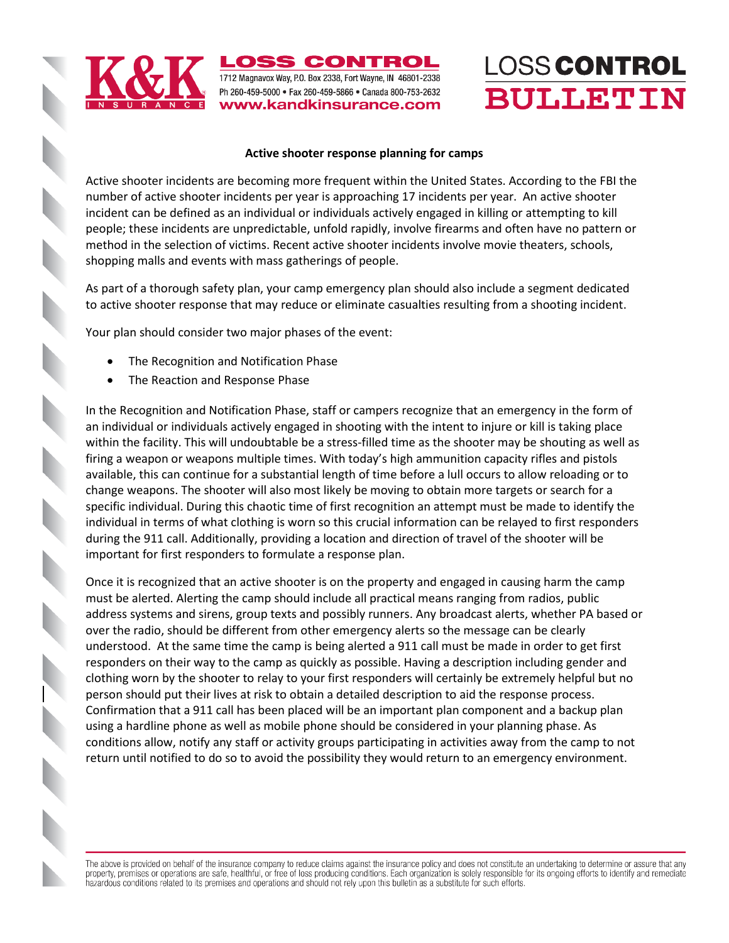

**OSS CONTROL** 1712 Magnavox Way, P.O. Box 2338, Fort Wayne, IN 46801-2338 Ph 260-459-5000 • Fax 260-459-5866 • Canada 800-753-2632 www.kandkinsurance.com

## LOSS CONTROL **BULLETIN**

#### **Active shooter response planning for camps**

Active shooter incidents are becoming more frequent within the United States. According to the FBI the number of active shooter incidents per year is approaching 17 incidents per year. An active shooter incident can be defined as an individual or individuals actively engaged in killing or attempting to kill people; these incidents are unpredictable, unfold rapidly, involve firearms and often have no pattern or method in the selection of victims. Recent active shooter incidents involve movie theaters, schools, shopping malls and events with mass gatherings of people.

As part of a thorough safety plan, your camp emergency plan should also include a segment dedicated to active shooter response that may reduce or eliminate casualties resulting from a shooting incident.

Your plan should consider two major phases of the event:

- The Recognition and Notification Phase
- The Reaction and Response Phase

In the Recognition and Notification Phase, staff or campers recognize that an emergency in the form of an individual or individuals actively engaged in shooting with the intent to injure or kill is taking place within the facility. This will undoubtable be a stress-filled time as the shooter may be shouting as well as firing a weapon or weapons multiple times. With today's high ammunition capacity rifles and pistols available, this can continue for a substantial length of time before a lull occurs to allow reloading or to change weapons. The shooter will also most likely be moving to obtain more targets or search for a specific individual. During this chaotic time of first recognition an attempt must be made to identify the individual in terms of what clothing is worn so this crucial information can be relayed to first responders during the 911 call. Additionally, providing a location and direction of travel of the shooter will be important for first responders to formulate a response plan.

Once it is recognized that an active shooter is on the property and engaged in causing harm the camp must be alerted. Alerting the camp should include all practical means ranging from radios, public address systems and sirens, group texts and possibly runners. Any broadcast alerts, whether PA based or over the radio, should be different from other emergency alerts so the message can be clearly understood. At the same time the camp is being alerted a 911 call must be made in order to get first responders on their way to the camp as quickly as possible. Having a description including gender and clothing worn by the shooter to relay to your first responders will certainly be extremely helpful but no person should put their lives at risk to obtain a detailed description to aid the response process. Confirmation that a 911 call has been placed will be an important plan component and a backup plan using a hardline phone as well as mobile phone should be considered in your planning phase. As conditions allow, notify any staff or activity groups participating in activities away from the camp to not return until notified to do so to avoid the possibility they would return to an emergency environment.

The above is provided on behalf of the insurance company to reduce claims against the insurance policy and does not constitute an undertaking to determine or assure that any property, premises or operations are safe, healthful, or free of loss producing conditions. Each organization is solely responsible for its ongoing efforts to identify and remediate hazardous conditions related to its premises and operations and should not rely upon this bulletin as a substitute for such efforts.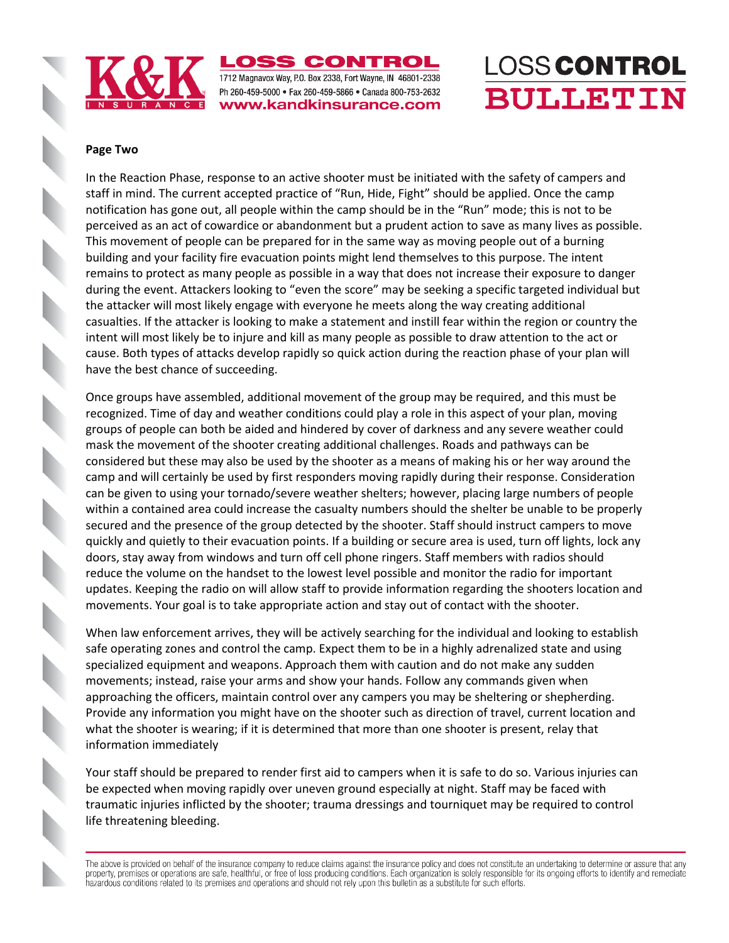

**.OSS CONTROL** 1712 Magnavox Way, P.O. Box 2338, Fort Wayne, IN 46801-2338 Ph 260-459-5000 · Fax 260-459-5866 · Canada 800-753-2632 www.kandkinsurance.com

## LOSS CONTROL **BULLETIN**

#### **Page Two**

In the Reaction Phase, response to an active shooter must be initiated with the safety of campers and staff in mind. The current accepted practice of "Run, Hide, Fight" should be applied. Once the camp notification has gone out, all people within the camp should be in the "Run" mode; this is not to be perceived as an act of cowardice or abandonment but a prudent action to save as many lives as possible. This movement of people can be prepared for in the same way as moving people out of a burning building and your facility fire evacuation points might lend themselves to this purpose. The intent remains to protect as many people as possible in a way that does not increase their exposure to danger during the event. Attackers looking to "even the score" may be seeking a specific targeted individual but the attacker will most likely engage with everyone he meets along the way creating additional casualties. If the attacker is looking to make a statement and instill fear within the region or country the intent will most likely be to injure and kill as many people as possible to draw attention to the act or cause. Both types of attacks develop rapidly so quick action during the reaction phase of your plan will have the best chance of succeeding.

Once groups have assembled, additional movement of the group may be required, and this must be recognized. Time of day and weather conditions could play a role in this aspect of your plan, moving groups of people can both be aided and hindered by cover of darkness and any severe weather could mask the movement of the shooter creating additional challenges. Roads and pathways can be considered but these may also be used by the shooter as a means of making his or her way around the camp and will certainly be used by first responders moving rapidly during their response. Consideration can be given to using your tornado/severe weather shelters; however, placing large numbers of people within a contained area could increase the casualty numbers should the shelter be unable to be properly secured and the presence of the group detected by the shooter. Staff should instruct campers to move quickly and quietly to their evacuation points. If a building or secure area is used, turn off lights, lock any doors, stay away from windows and turn off cell phone ringers. Staff members with radios should reduce the volume on the handset to the lowest level possible and monitor the radio for important updates. Keeping the radio on will allow staff to provide information regarding the shooters location and movements. Your goal is to take appropriate action and stay out of contact with the shooter.

When law enforcement arrives, they will be actively searching for the individual and looking to establish safe operating zones and control the camp. Expect them to be in a highly adrenalized state and using specialized equipment and weapons. Approach them with caution and do not make any sudden movements; instead, raise your arms and show your hands. Follow any commands given when approaching the officers, maintain control over any campers you may be sheltering or shepherding. Provide any information you might have on the shooter such as direction of travel, current location and what the shooter is wearing; if it is determined that more than one shooter is present, relay that information immediately

Your staff should be prepared to render first aid to campers when it is safe to do so. Various injuries can be expected when moving rapidly over uneven ground especially at night. Staff may be faced with traumatic injuries inflicted by the shooter; trauma dressings and tourniquet may be required to control life threatening bleeding.

The above is provided on behalf of the insurance company to reduce claims against the insurance policy and does not constitute an undertaking to determine or assure that any property, premises or operations are safe, healthful, or free of loss producing conditions. Each organization is solely responsible for its ongoing efforts to identify and remediate hazardous conditions related to its premises and operations and should not rely upon this bulletin as a substitute for such efforts.